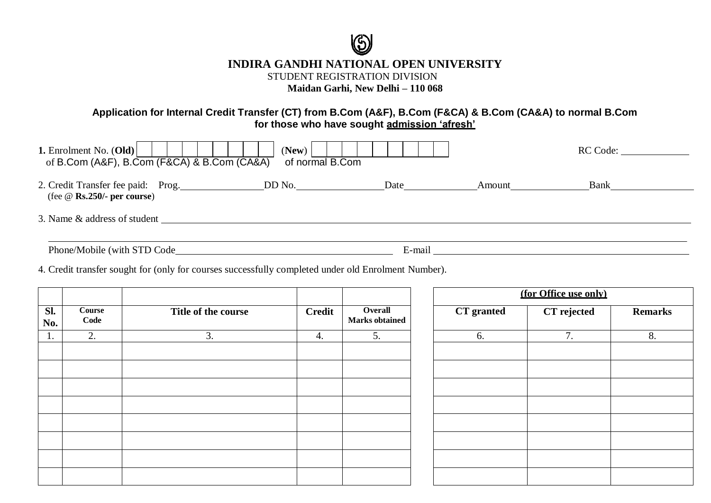

# **INDIRA GANDHI NATIONAL OPEN UNIVERSITY**

STUDENT REGISTRATION DIVISION

**Maidan Garhi, New Delhi – 110 068**

### **Application for Internal Credit Transfer (CT) from B.Com (A&F), B.Com (F&CA) & B.Com (CA&A) to normal B.Com for those who have sought admission 'afresh'**

| 1. Enrolment No. $(Old)$<br>of B.Com (A&F), B.Com (F&CA) & B.Com (CA&A) | (New)<br>of normal B.Com |        |        | RC Code: |  |
|-------------------------------------------------------------------------|--------------------------|--------|--------|----------|--|
| (fee $\omega$ Rs.250/- per course)                                      |                          | Date   | Amount | Bank     |  |
| 3. Name & address of student                                            |                          |        |        |          |  |
| Phone/Mobile (with STD Code                                             |                          | E-mail |        |          |  |

4. Credit transfer sought for (only for courses successfully completed under old Enrolment Number).

|                              |                     |               |            | $\overline{O}$ verall<br><b>Marks</b> obtained | (for Office use only) |             |    |
|------------------------------|---------------------|---------------|------------|------------------------------------------------|-----------------------|-------------|----|
| Course<br>Sl.<br>Code<br>No. | Title of the course | <b>Credit</b> | CT granted |                                                | CT rejected           | <b>Rema</b> |    |
| $\mathbf{1}$ .               | 2.                  | 3.            | 4.         | 5.                                             | 6.                    | 7.          | 8. |
|                              |                     |               |            |                                                |                       |             |    |
|                              |                     |               |            |                                                |                       |             |    |
|                              |                     |               |            |                                                |                       |             |    |
|                              |                     |               |            |                                                |                       |             |    |
|                              |                     |               |            |                                                |                       |             |    |

| <b>CT</b> granted | CT rejected | <b>Remarks</b> |  |
|-------------------|-------------|----------------|--|
| 6.                | 7.          | 8.             |  |
|                   |             |                |  |
|                   |             |                |  |
|                   |             |                |  |
|                   |             |                |  |
|                   |             |                |  |
|                   |             |                |  |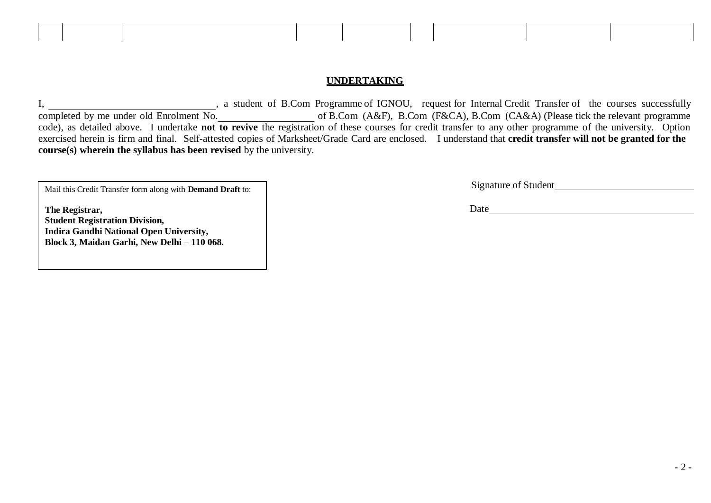#### **UNDERTAKING**

I, sa student of B.Com Programme of IGNOU, request for Internal Credit Transfer of the courses successfully completed by me under old Enrolment No. of B.Com (A&F), B.Com (F&CA), B.Com (CA&A) (Please tick the relevant programme completed by me under old Enrolment No.<br>code), as detailed above. I undertake **not** to revive the registration of these courses for credit transfer to any other programme of the university. Option exercised herein is firm and final. Self-attested copies of Marksheet/Grade Card are enclosed. I understand that **credit transfer will not be granted for the course(s) wherein the syllabus has been revised** by the university.

Mail this Credit Transfer form along with **Demand Draft** to:

**The Registrar, Student Registration Division, Indira Gandhi National Open University, Block 3, Maidan Garhi, New Delhi – 110 068.**

| Signature of Student |  |
|----------------------|--|
|                      |  |

Date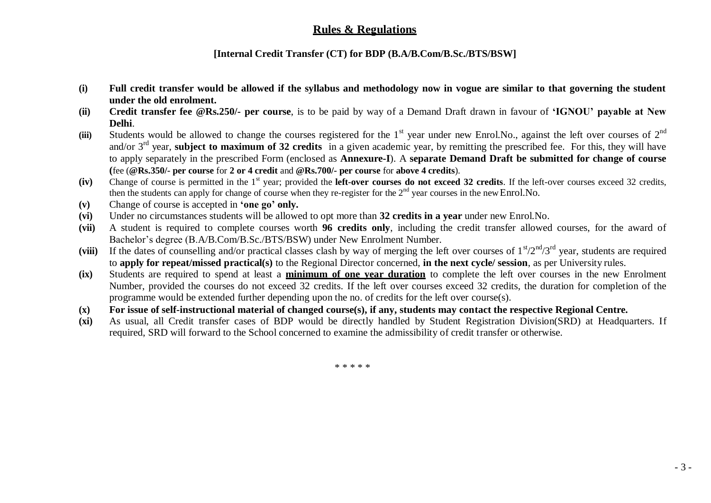## **Rules & Regulations**

#### **[Internal Credit Transfer (CT) for BDP (B.A/B.Com/B.Sc./BTS/BSW]**

- **(i) Full credit transfer would be allowed if the syllabus and methodology now in vogue are similar to that governing the student under the old enrolment.**
- **(ii) Credit transfer fee @Rs.250/- per course**, is to be paid by way of a Demand Draft drawn in favour of **'IGNOU' payable at New Delhi**.
- (iii) Students would be allowed to change the courses registered for the  $1<sup>st</sup>$  year under new Enrol.No., against the left over courses of  $2<sup>nd</sup>$ and/or 3rd year, **subject to maximum of 32 credits** in a given academic year, by remitting the prescribed fee. For this, they will have to apply separately in the prescribed Form (enclosed as **Annexure-I**). A **separate Demand Draft be submitted for change of course (**fee (**@Rs.350/- per course** for **2 or 4 credit** and **@Rs.700/- per course** for **above 4 credits**).
- (iv) Change of course is permitted in the 1<sup>st</sup> year; provided the **left-over courses do not exceed 32 credits**. If the left-over courses exceed 32 credits, then the students can apply for change of course when they re-register for the  $2<sup>nd</sup>$  year courses in the new Enrol.No.
- **(v)** Change of course is accepted in **'one go' only.**
- **(vi)** Under no circumstances students will be allowed to opt more than **32 credits in a year** under new Enrol.No.
- **(vii)** A student is required to complete courses worth **96 credits only**, including the credit transfer allowed courses, for the award of Bachelor's degree (B.A/B.Com/B.Sc./BTS/BSW) under New Enrolment Number.
- (viii) If the dates of counselling and/or practical classes clash by way of merging the left over courses of  $1<sup>st</sup>/2<sup>nd</sup>/3<sup>rd</sup>$  year, students are required to **apply for repeat/missed practical(s)** to the Regional Director concerned, **in the next cycle/ session**, as per University rules.
- **(ix)** Students are required to spend at least a **minimum of one year duration** to complete the left over courses in the new Enrolment Number, provided the courses do not exceed 32 credits. If the left over courses exceed 32 credits, the duration for completion of the programme would be extended further depending upon the no. of credits for the left over course(s).
- **(x) For issue of self-instructional material of changed course(s), if any, students may contact the respective Regional Centre.**
- **(xi)** As usual, all Credit transfer cases of BDP would be directly handled by Student Registration Division(SRD) at Headquarters. If required, SRD will forward to the School concerned to examine the admissibility of credit transfer or otherwise.

\* \* \* \* \*